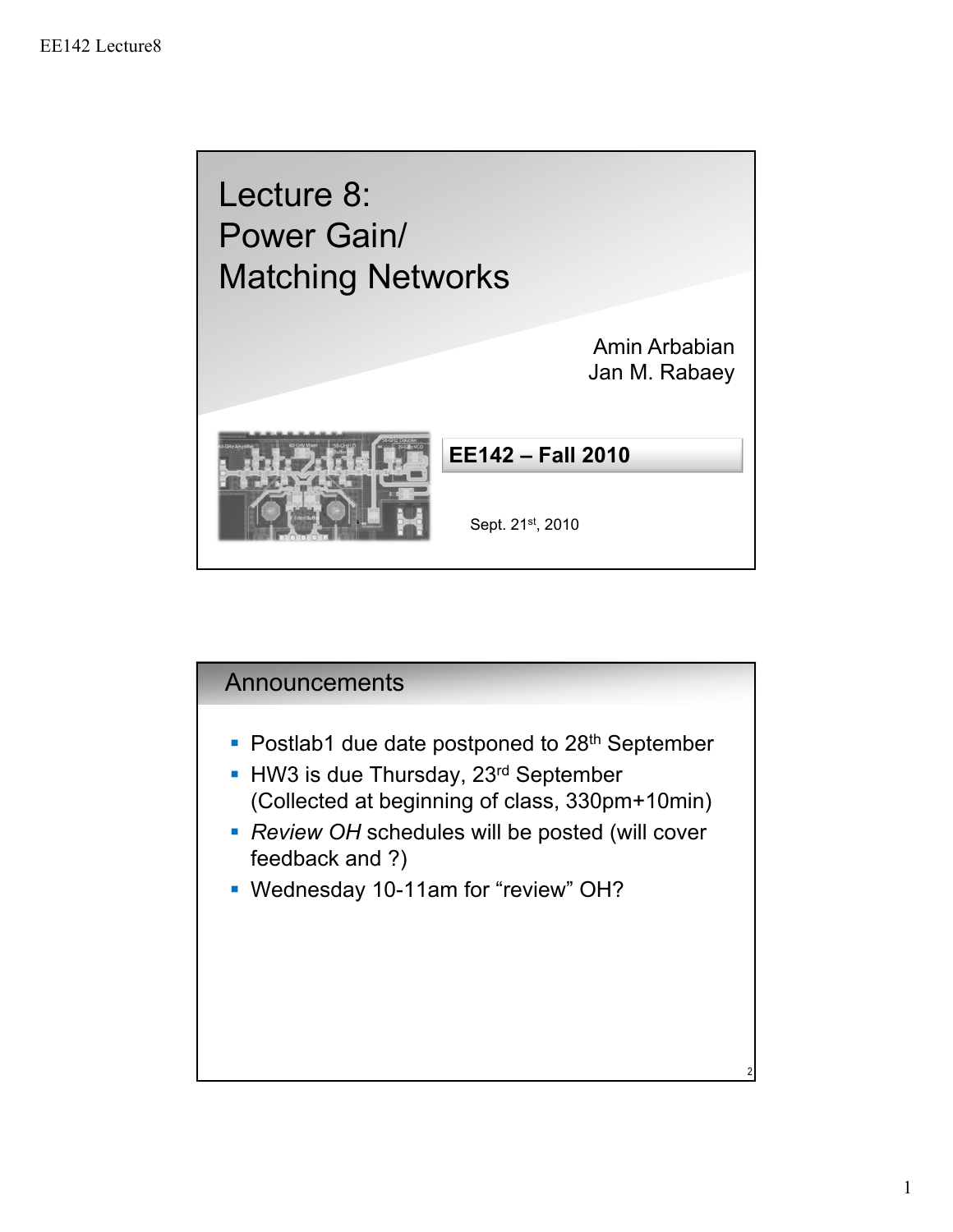

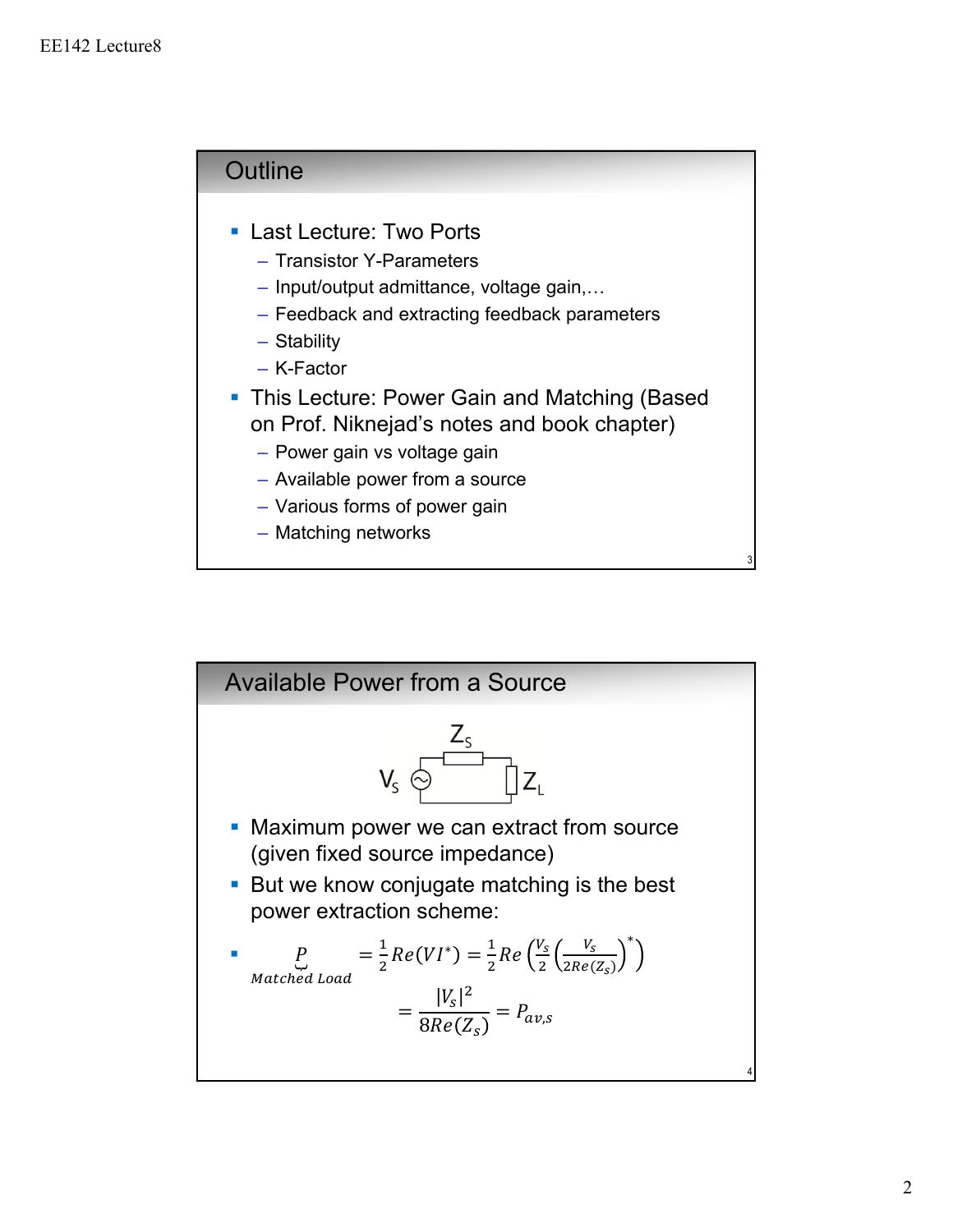#### **Outline**

- **Last Lecture: Two Ports** 
	- Transistor Y-Parameters
	- Input/output admittance, voltage gain,…
	- Feedback and extracting feedback parameters
	- Stability
	- K-Factor
- **This Lecture: Power Gain and Matching (Based)** on Prof. Niknejad's notes and book chapter)
	- Power gain vs voltage gain
	- Available power from a source
	- Various forms of power gain
	- Matching networks

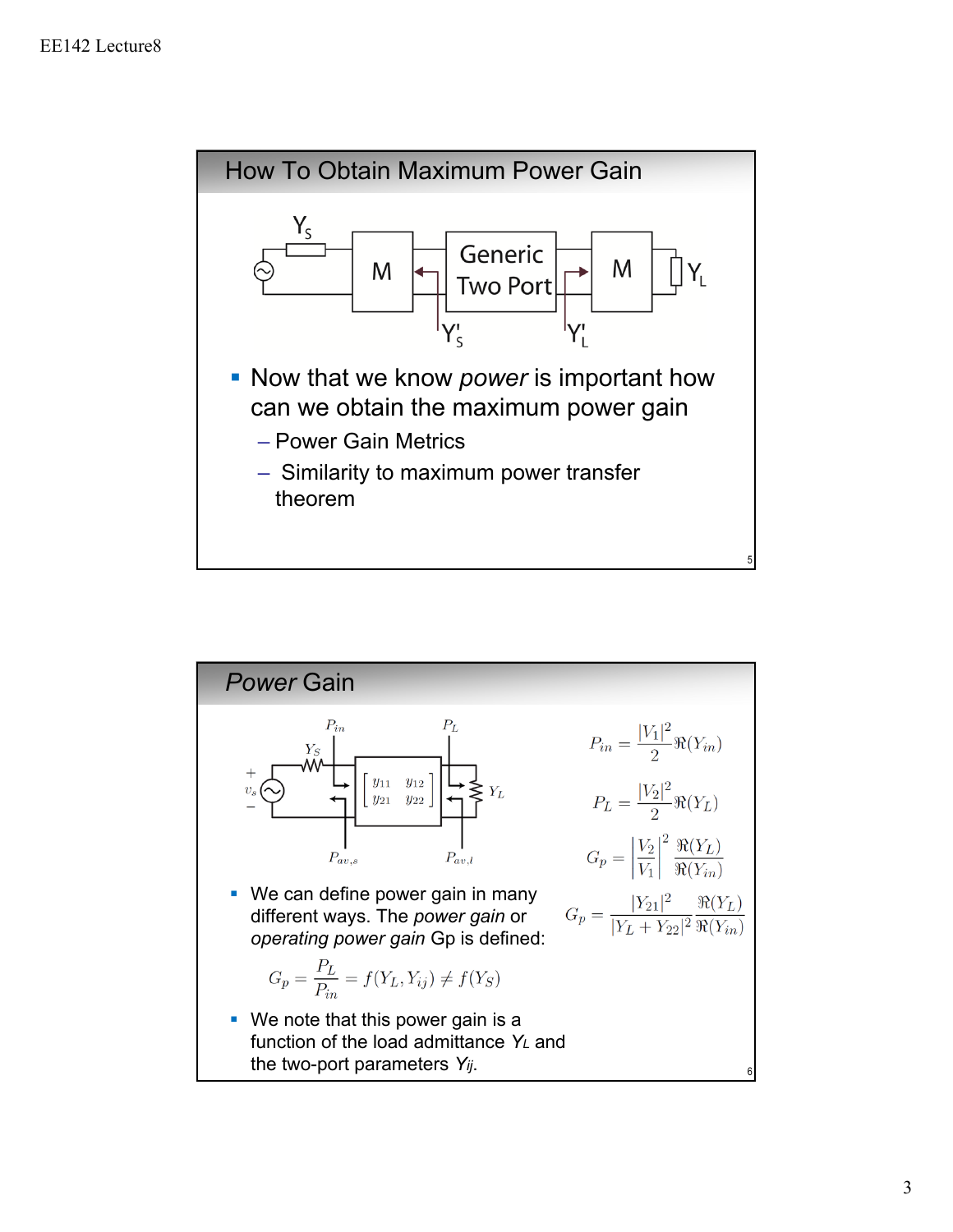

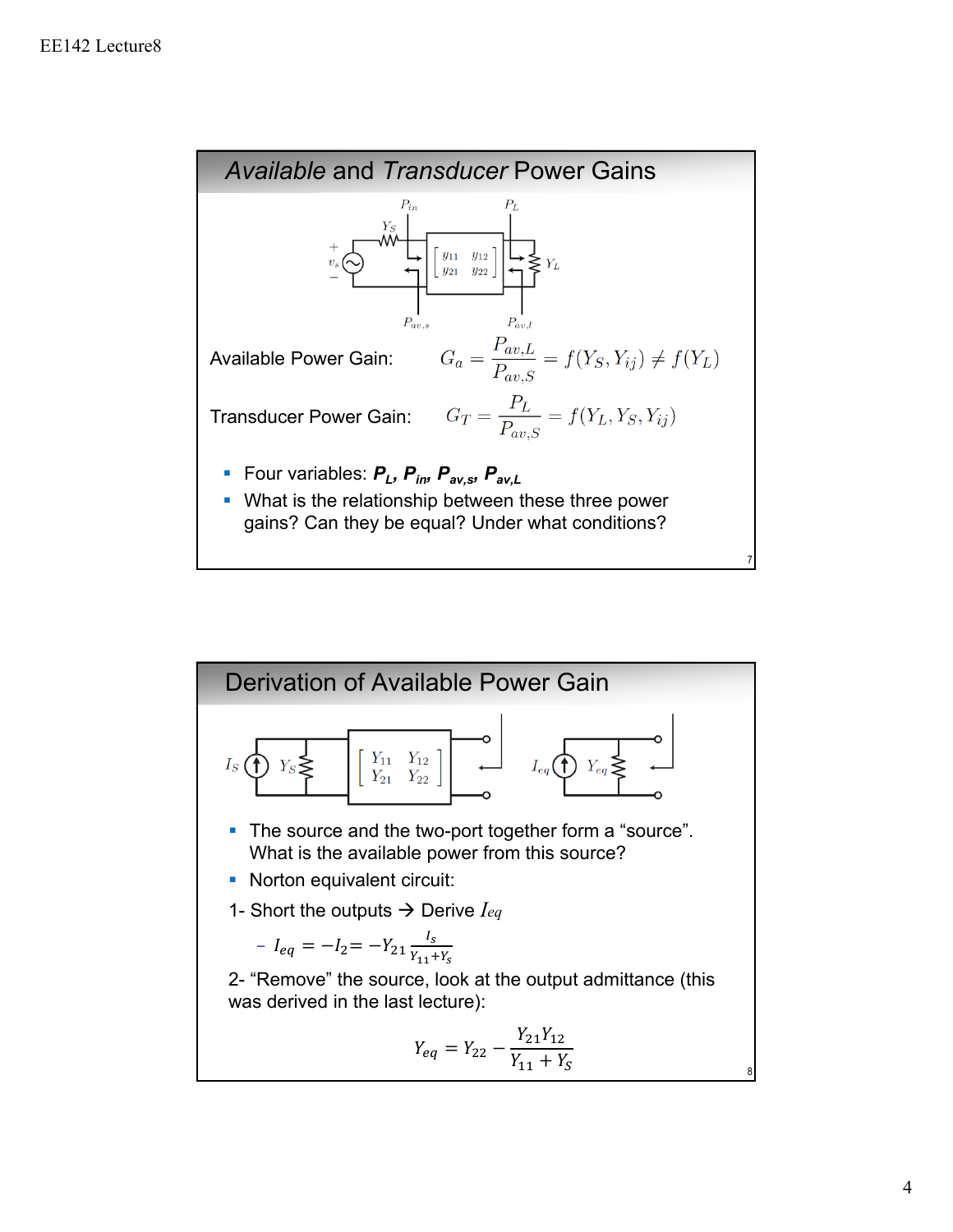

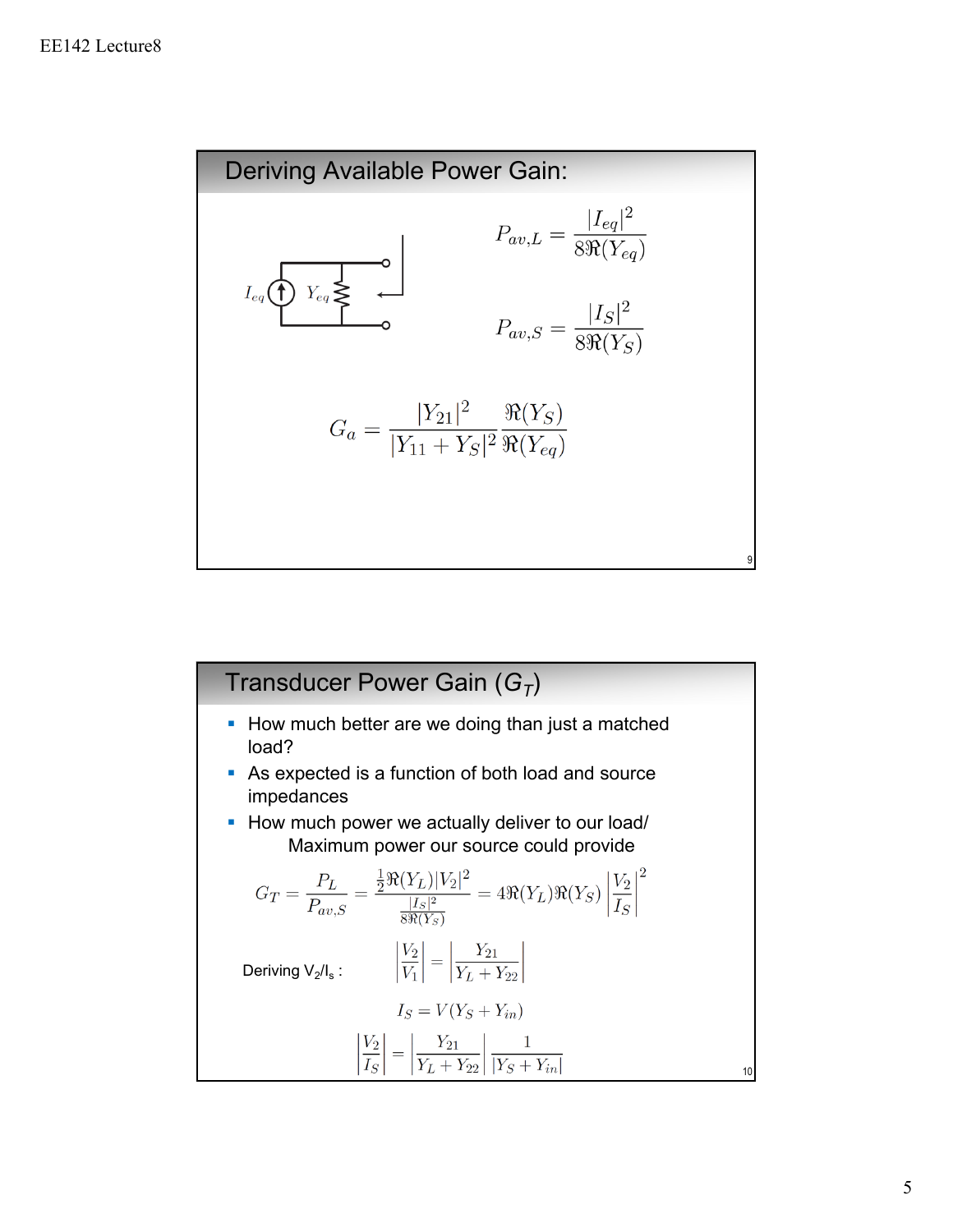

| Transducer Power Gain $(G_T)$                                                                                                               |    |
|---------------------------------------------------------------------------------------------------------------------------------------------|----|
| How much better are we doing than just a matched<br>load?                                                                                   |    |
| As expected is a function of both load and source<br>impedances                                                                             |    |
| How much power we actually deliver to our load/<br>u.<br>Maximum power our source could provide                                             |    |
| $G_T = \frac{P_L}{P_{av,S}} = \frac{\frac{1}{2} \Re(Y_L) V_2 ^2}{\frac{ I_S ^2}{2}} = 4 \Re(Y_L) \Re(Y_S) \left  \frac{V_2}{I_S} \right ^2$ |    |
| Deriving $V_2I_s$ : $\left \frac{V_2}{V_1}\right  = \left \frac{Y_{21}}{Y_1 + Y_{22}}\right $                                               |    |
| $I_S = V(Y_S + Y_{in})$                                                                                                                     |    |
| $\left \frac{V_2}{I_S}\right  = \left \frac{Y_{21}}{Y_I + Y_{22}}\right  \frac{1}{ Y_S + Y_{21} }.$                                         | 10 |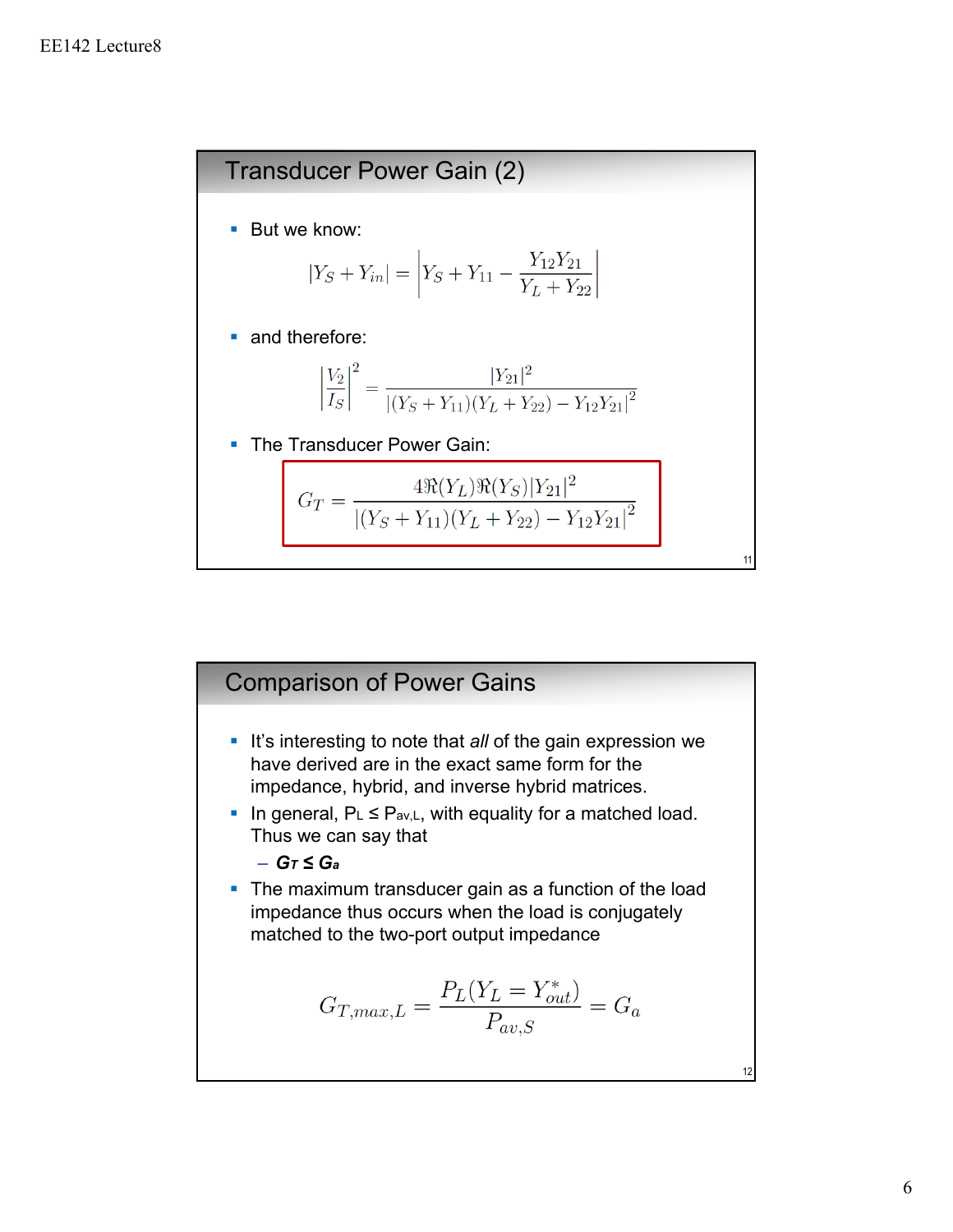## Transducer Power Gain (2) ■ But we know:  $|Y_S + Y_{in}| = |Y_S + Y_{11} - \frac{Y_{12}Y_{21}}{Y_I + Y_{22}}|$ • and therefore:  $\left|\frac{V_2}{I_S}\right|^2 = \frac{|Y_{21}|^2}{\sqrt{(Y_{\rm G} + Y_{11})(Y_{\rm L} + Y_{22}) - Y_{12}Y_{21}|^2}}$ **The Transducer Power Gain:**  $G_T = \frac{4\Re(Y_L)\Re(Y_S)|Y_{21}|^2}{\left|(Y_S + Y_{11})(Y_L + Y_{22}) - Y_{12}Y_{21}\right|^2}$ 11

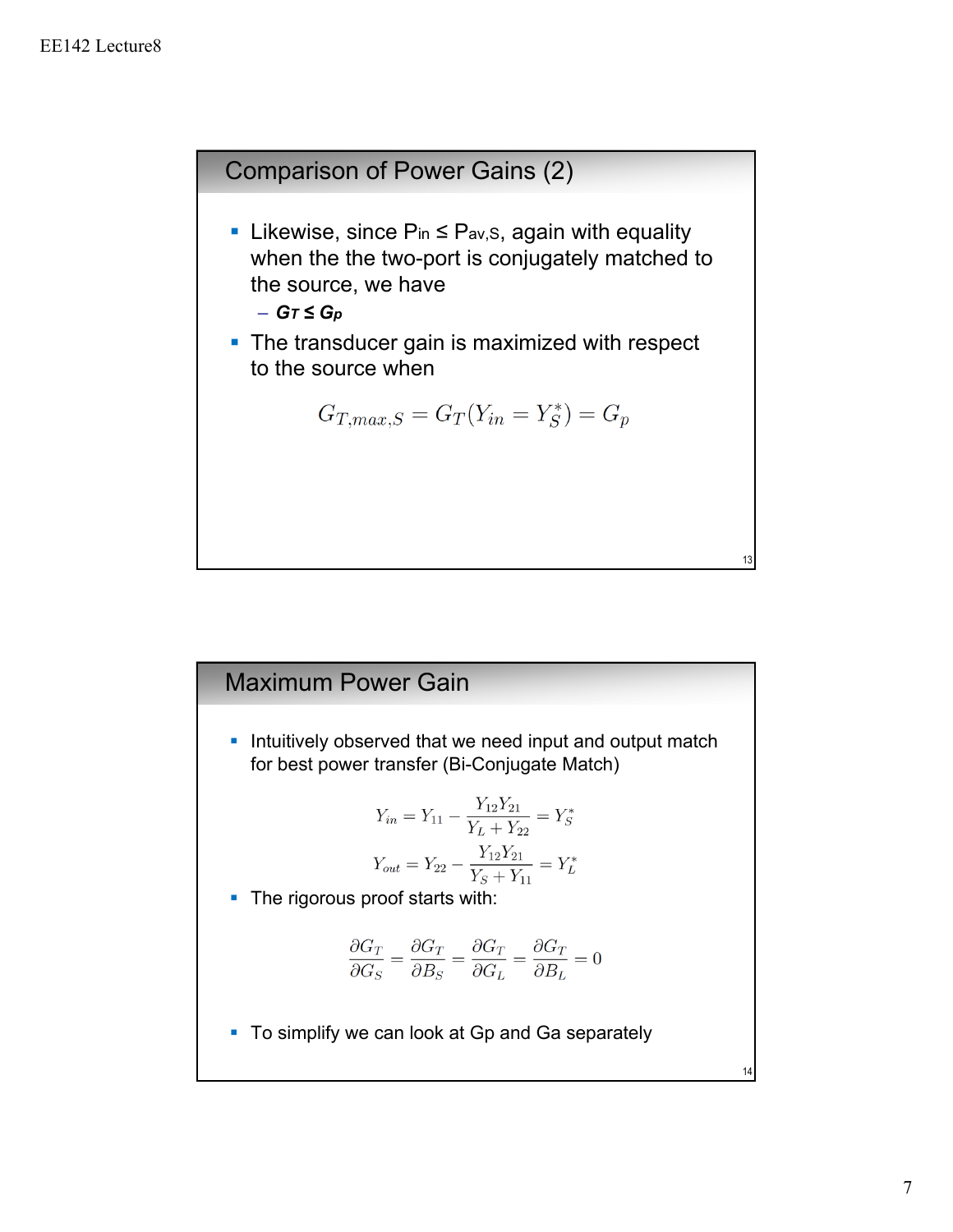#### Comparison of Power Gains (2)

■ Likewise, since Pin ≤ Pav, s, again with equality when the the two-port is conjugately matched to the source, we have

$$
-G\tau\leq G_p
$$

• The transducer gain is maximized with respect to the source when

$$
G_{T,max,S} = G_T(Y_{in} = Y_S^*) = G_p
$$

#### Maximum Power Gain

**Intuitively observed that we need input and output match** for best power transfer (Bi-Conjugate Match)

$$
Y_{in} = Y_{11} - \frac{Y_{12}Y_{21}}{Y_L + Y_{22}} = Y_S^*
$$

$$
Y_{out} = Y_{22} - \frac{Y_{12}Y_{21}}{Y_S + Y_{11}} = Y_L^*
$$

• The rigorous proof starts with:

$$
\frac{\partial G_T}{\partial G_S} = \frac{\partial G_T}{\partial B_S} = \frac{\partial G_T}{\partial G_L} = \frac{\partial G_T}{\partial B_L} = 0
$$

To simplify we can look at Gp and Ga separately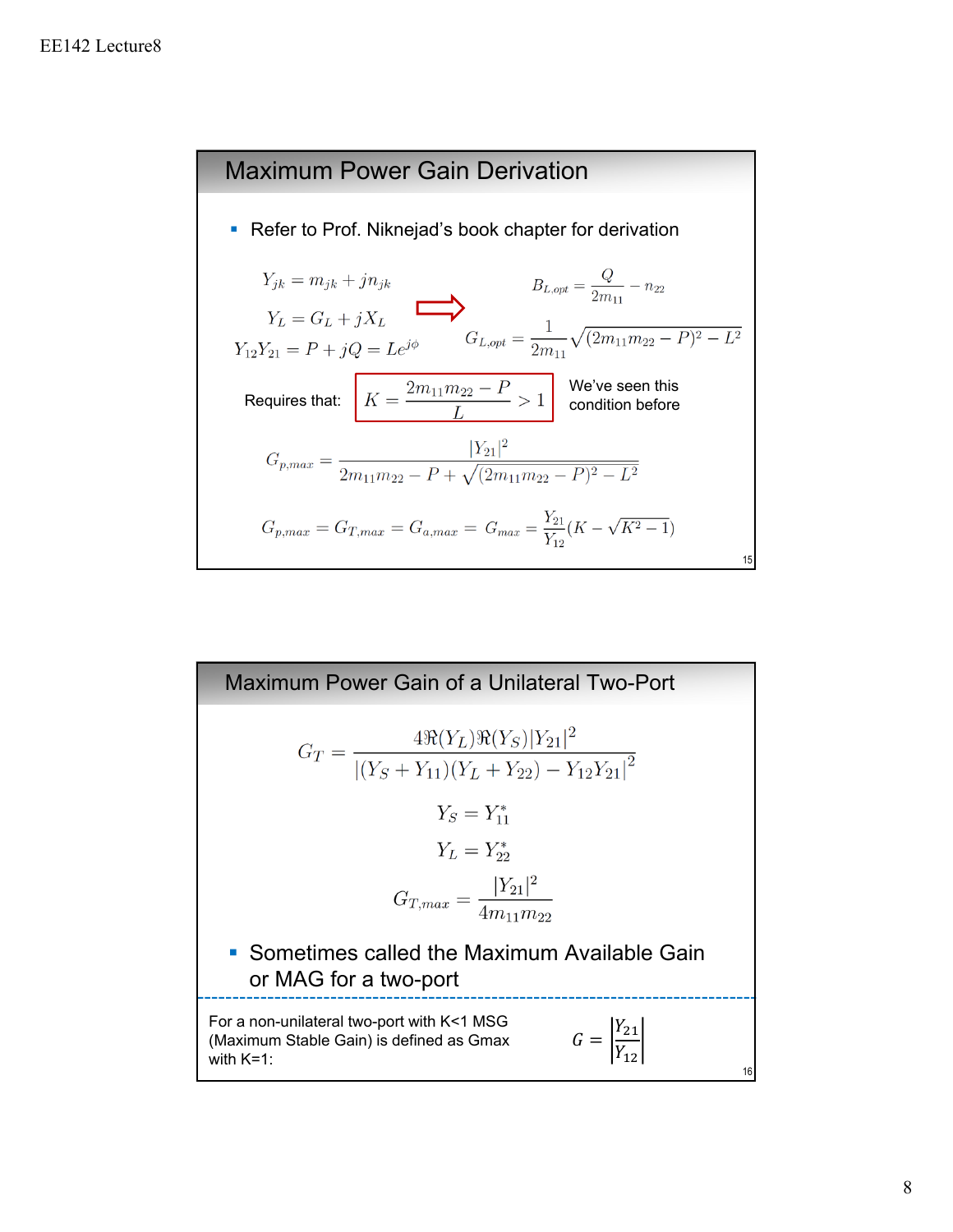

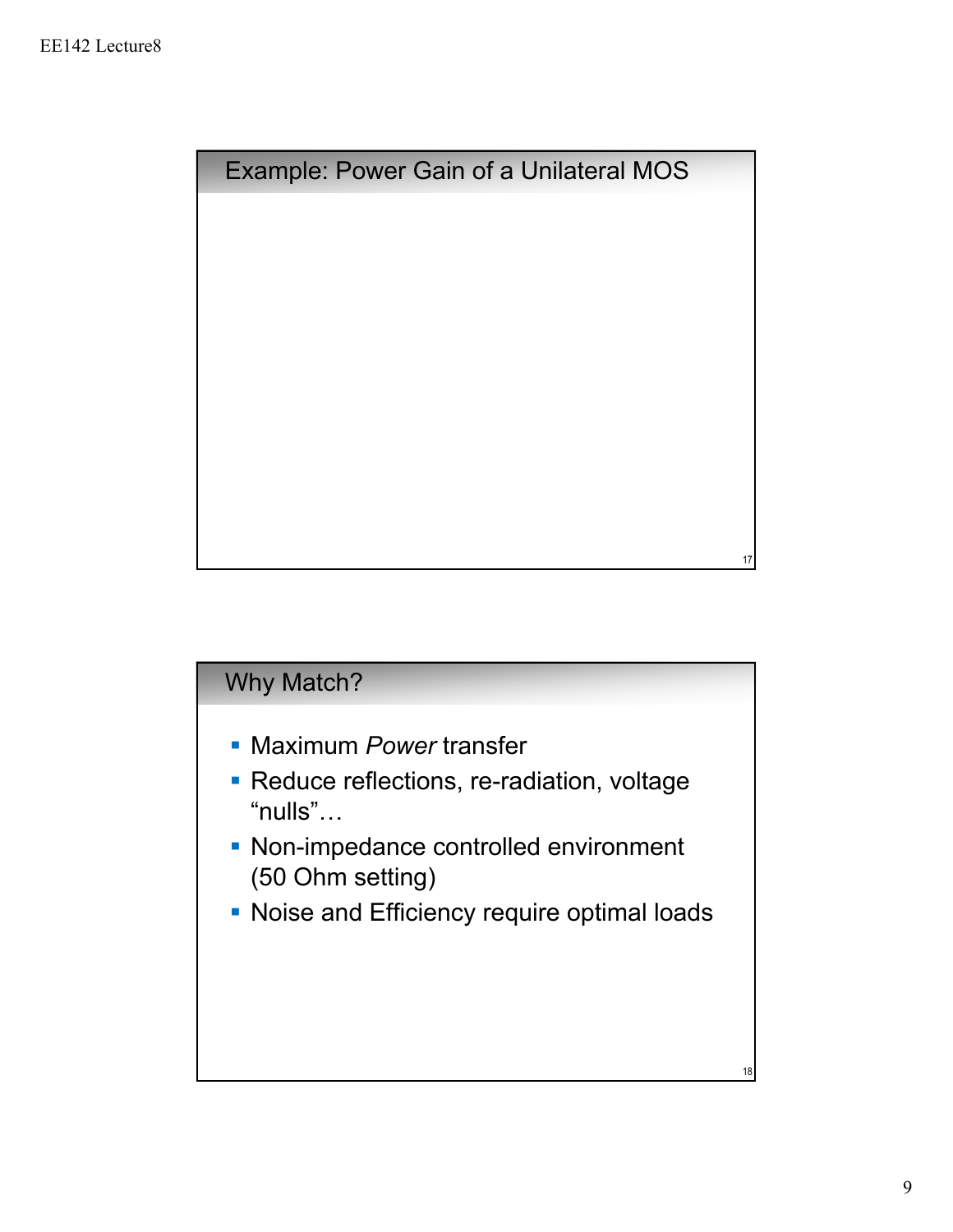# 17 Example: Power Gain of a Unilateral MOS

### Why Match?

- Maximum *Power* transfer
- **Reduce reflections, re-radiation, voltage** "nulls"…
- Non-impedance controlled environment (50 Ohm setting)
- **Noise and Efficiency require optimal loads**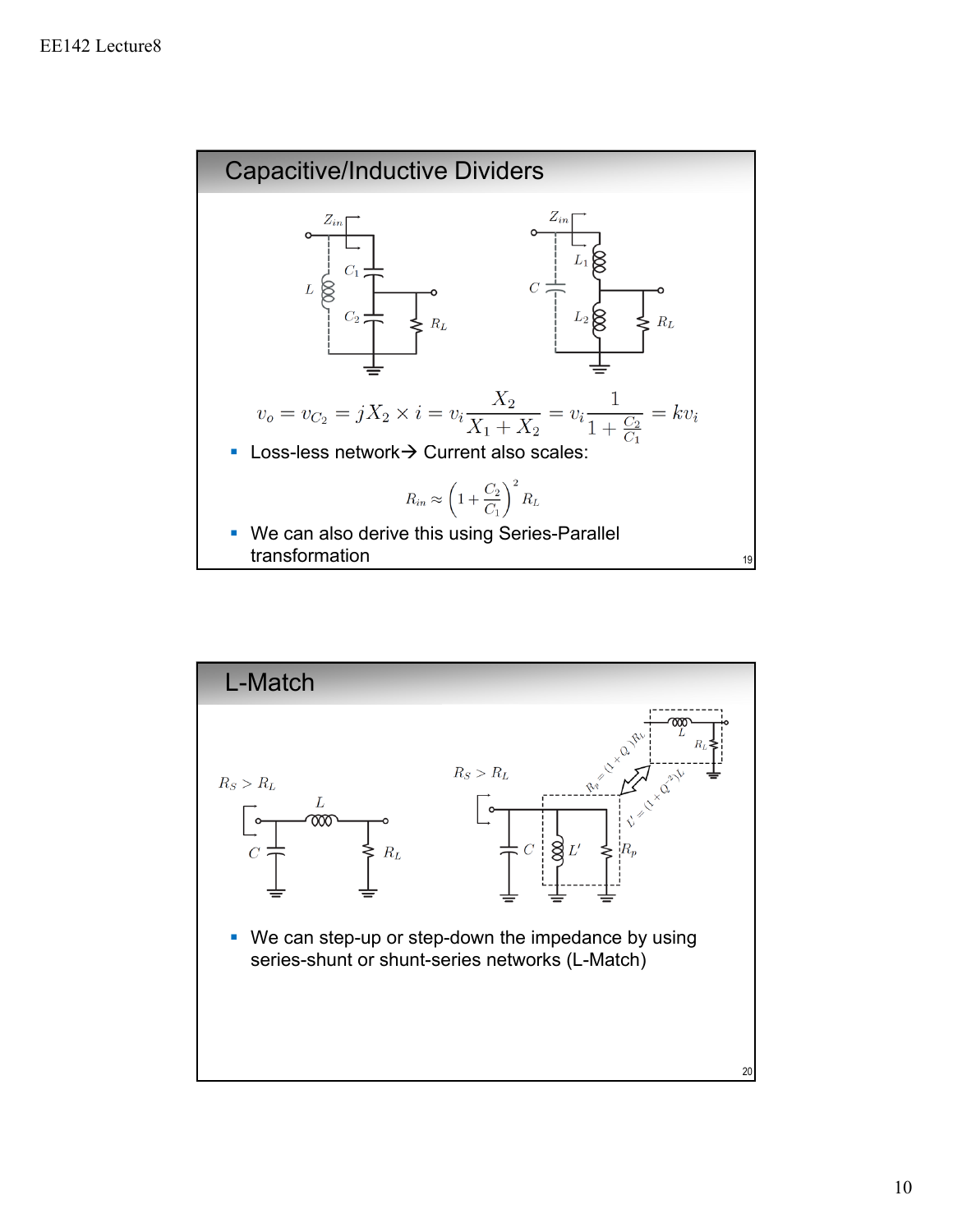

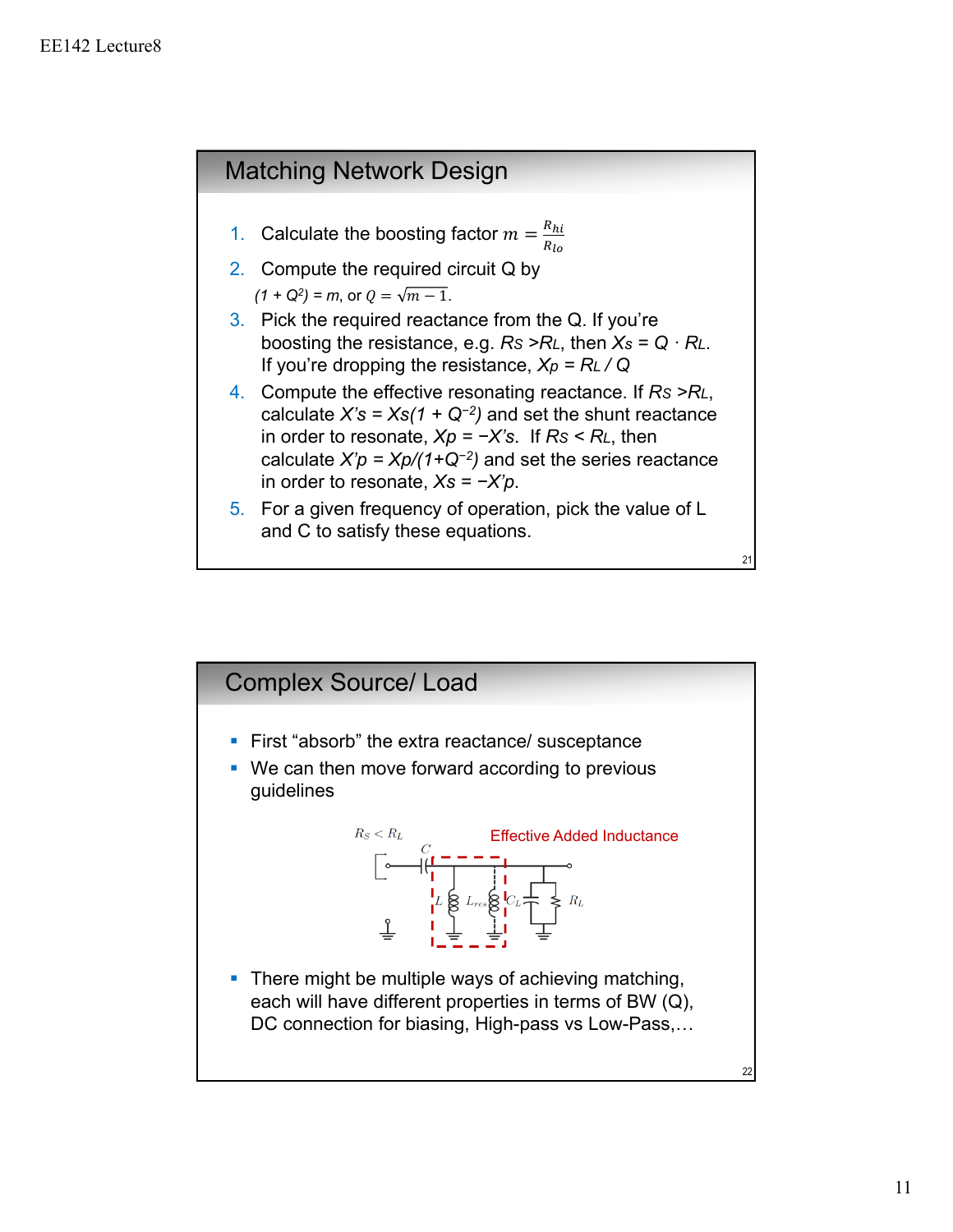#### Matching Network Design

- 1. Calculate the boosting factor  $m = \frac{R_{hi}}{R_{hi}}$  $R_{lo}$
- 2. Compute the required circuit Q by  $(1 + Q^2) = m$ , or  $Q = \sqrt{m-1}$ .
- 3. Pick the required reactance from the Q. If you're boosting the resistance, e.g.  $Rs > R_L$ , then  $X_s = Q \cdot R_L$ . If you're dropping the resistance,  $X_p = R_L / Q$
- 4. Compute the effective resonating reactance. If *RS >RL*, calculate *X's = Xs(1 + Q<sup>−</sup>2)* and set the shunt reactance in order to resonate, *Xp = −X's*. If *RS < RL*, then calculate *X'p = Xp/(1+Q<sup>−</sup>2)* and set the series reactance in order to resonate, *Xs = −X'p*.
- 5. For a given frequency of operation, pick the value of L and C to satisfy these equations.